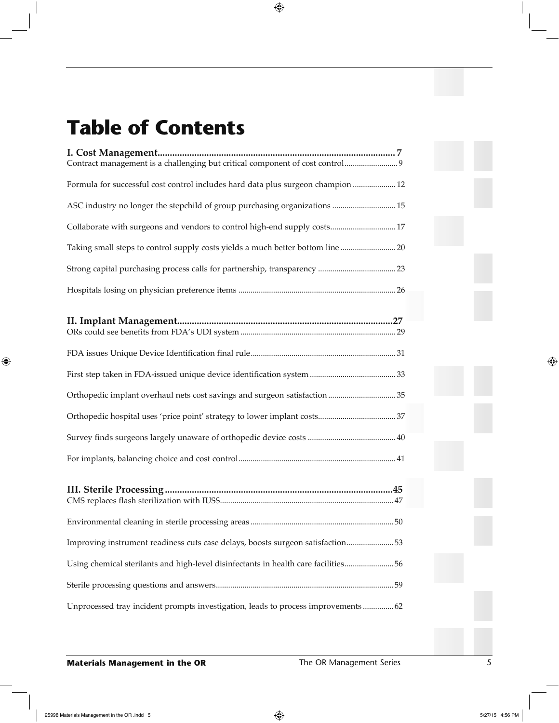## **Table of Contents**

| Contract management is a challenging but critical component of cost control 9       |  |
|-------------------------------------------------------------------------------------|--|
| Formula for successful cost control includes hard data plus surgeon champion  12    |  |
| ASC industry no longer the stepchild of group purchasing organizations  15          |  |
| Collaborate with surgeons and vendors to control high-end supply costs 17           |  |
| Taking small steps to control supply costs yields a much better bottom line  20     |  |
|                                                                                     |  |
|                                                                                     |  |
|                                                                                     |  |
|                                                                                     |  |
|                                                                                     |  |
| Orthopedic implant overhaul nets cost savings and surgeon satisfaction35            |  |
|                                                                                     |  |
|                                                                                     |  |
|                                                                                     |  |
|                                                                                     |  |
|                                                                                     |  |
| Improving instrument readiness cuts case delays, boosts surgeon satisfaction53      |  |
| Using chemical sterilants and high-level disinfectants in health care facilities 56 |  |
|                                                                                     |  |
| Unprocessed tray incident prompts investigation, leads to process improvements  62  |  |

 $\bigoplus$ 

**Materials Management in the OR** The OR Management Series 5

 $\bigoplus$ 

 $\bigoplus$